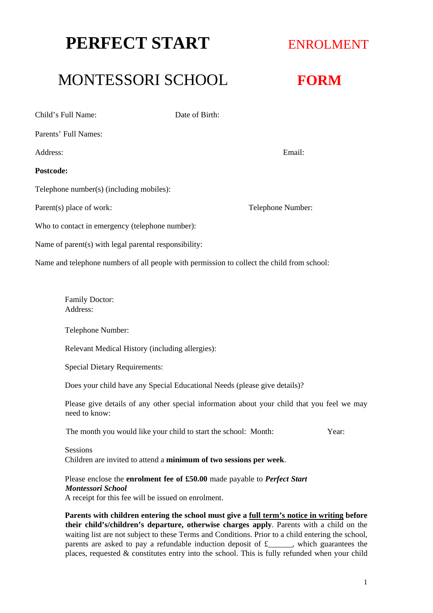# **PERFECT START ENROLMENT**

## MONTESSORI SCHOOL **FORM**

Child's Full Name: Date of Birth: Parents' Full Names: Address: Email: **Postcode:** Telephone number(s) (including mobiles): Parent(s) place of work: Telephone Number: Who to contact in emergency (telephone number): Name of parent(s) with legal parental responsibility: Name and telephone numbers of all people with permission to collect the child from school:

> Family Doctor: Address:

Telephone Number:

Relevant Medical History (including allergies):

Special Dietary Requirements:

Does your child have any Special Educational Needs (please give details)?

Please give details of any other special information about your child that you feel we may need to know:

The month you would like your child to start the school: Month: Year:

#### Sessions

Children are invited to attend a **minimum of two sessions per week**.

#### Please enclose the **enrolment fee of £50.00** made payable to *Perfect Start Montessori School*

A receipt for this fee will be issued on enrolment.

**Parents with children entering the school must give a full term's notice in writing before their child's/children's departure, otherwise charges apply**. Parents with a child on the waiting list are not subject to these Terms and Conditions. Prior to a child entering the school, parents are asked to pay a refundable induction deposit of £\_\_\_\_\_\_, which guarantees the places, requested  $\&$  constitutes entry into the school. This is fully refunded when your child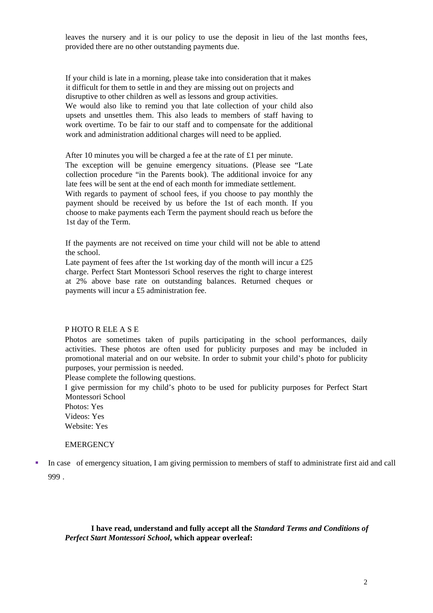leaves the nursery and it is our policy to use the deposit in lieu of the last months fees, provided there are no other outstanding payments due.

If your child is late in a morning, please take into consideration that it makes it difficult for them to settle in and they are missing out on projects and disruptive to other children as well as lessons and group activities. We would also like to remind you that late collection of your child also upsets and unsettles them. This also leads to members of staff having to work overtime. To be fair to our staff and to compensate for the additional work and administration additional charges will need to be applied.

After 10 minutes you will be charged a fee at the rate of £1 per minute. The exception will be genuine emergency situations. (Please see "Late collection procedure "in the Parents book). The additional invoice for any late fees will be sent at the end of each month for immediate settlement. With regards to payment of school fees, if you choose to pay monthly the payment should be received by us before the 1st of each month. If you choose to make payments each Term the payment should reach us before the 1st day of the Term.

If the payments are not received on time your child will not be able to attend the school.

Late payment of fees after the 1st working day of the month will incur a  $£25$ charge. Perfect Start Montessori School reserves the right to charge interest at 2% above base rate on outstanding balances. Returned cheques or payments will incur a £5 administration fee.

#### P HOTO R ELE A S E

Photos are sometimes taken of pupils participating in the school performances, daily activities. These photos are often used for publicity purposes and may be included in promotional material and on our website. In order to submit your child's photo for publicity purposes, your permission is needed.

Please complete the following questions.

I give permission for my child's photo to be used for publicity purposes for Perfect Start Montessori School

Photos: Yes Videos: Yes

Website: Yes

#### **EMERGENCY**

 In case of emergency situation, I am giving permission to members of staff to administrate first aid and call 999 .

**I have read, understand and fully accept all the** *Standard Terms and Conditions of Perfect Start Montessori School***, which appear overleaf:**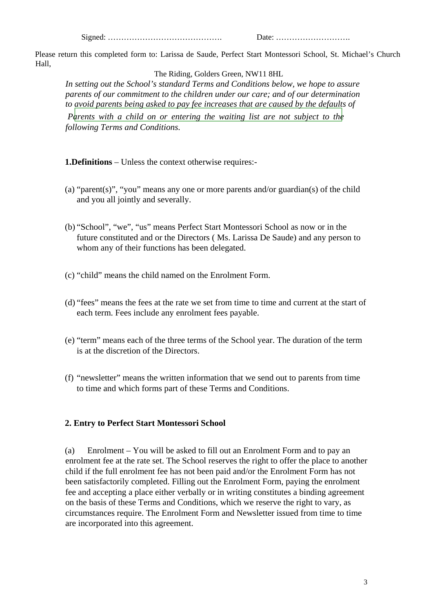Signed: ……………………………………. Date: ……………………….

Please return this completed form to: Larissa de Saude, Perfect Start Montessori School, St. Michael's Church Hall,

The Riding, Golders Green, NW11 8HL

*In setting out the School's standard Terms and Conditions below, we hope to assure parents of our commitment to the children under our care; and of our determination to avoid parents being asked to pay fee increases that are caused by the defaults of Parents with a child on or entering the waiting list are not subject to the following Terms and Conditions.*

**1.Definitions** – Unless the context otherwise requires:-

- (a) "parent(s)", "you" means any one or more parents and/or guardian(s) of the child and you all jointly and severally.
- (b) "School", "we", "us" means Perfect Start Montessori School as now or in the future constituted and or the Directors ( Ms. Larissa De Saude) and any person to whom any of their functions has been delegated.
- (c) "child" means the child named on the Enrolment Form.
- (d) "fees" means the fees at the rate we set from time to time and current at the start of each term. Fees include any enrolment fees payable.
- (e) "term" means each of the three terms of the School year. The duration of the term is at the discretion of the Directors.
- (f) "newsletter" means the written information that we send out to parents from time to time and which forms part of these Terms and Conditions.

## **2. Entry to Perfect Start Montessori School**

(a) Enrolment – You will be asked to fill out an Enrolment Form and to pay an enrolment fee at the rate set. The School reserves the right to offer the place to another child if the full enrolment fee has not been paid and/or the Enrolment Form has not been satisfactorily completed. Filling out the Enrolment Form, paying the enrolment fee and accepting a place either verbally or in writing constitutes a binding agreement on the basis of these Terms and Conditions, which we reserve the right to vary, as circumstances require. The Enrolment Form and Newsletter issued from time to time are incorporated into this agreement.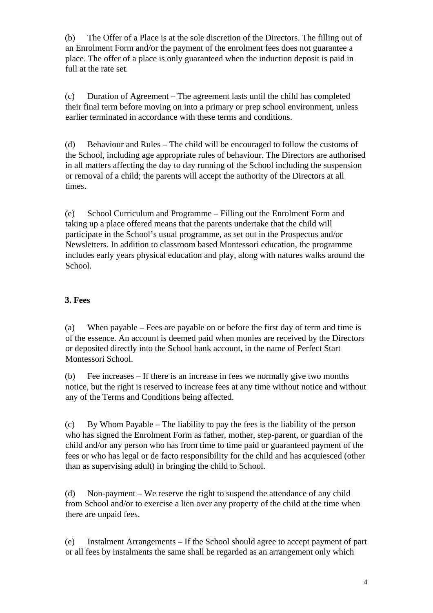(b) The Offer of a Place is at the sole discretion of the Directors. The filling out of an Enrolment Form and/or the payment of the enrolment fees does not guarantee a place. The offer of a place is only guaranteed when the induction deposit is paid in full at the rate set.

(c) Duration of Agreement – The agreement lasts until the child has completed their final term before moving on into a primary or prep school environment, unless earlier terminated in accordance with these terms and conditions.

(d) Behaviour and Rules – The child will be encouraged to follow the customs of the School, including age appropriate rules of behaviour. The Directors are authorised in all matters affecting the day to day running of the School including the suspension or removal of a child; the parents will accept the authority of the Directors at all times.

(e) School Curriculum and Programme – Filling out the Enrolment Form and taking up a place offered means that the parents undertake that the child will participate in the School's usual programme, as set out in the Prospectus and/or Newsletters. In addition to classroom based Montessori education, the programme includes early years physical education and play, along with natures walks around the School.

#### **3. Fees**

(a) When payable – Fees are payable on or before the first day of term and time is of the essence. An account is deemed paid when monies are received by the Directors or deposited directly into the School bank account, in the name of Perfect Start Montessori School.

(b) Fee increases – If there is an increase in fees we normally give two months notice, but the right is reserved to increase fees at any time without notice and without any of the Terms and Conditions being affected.

(c) By Whom Payable – The liability to pay the fees is the liability of the person who has signed the Enrolment Form as father, mother, step-parent, or guardian of the child and/or any person who has from time to time paid or guaranteed payment of the fees or who has legal or de facto responsibility for the child and has acquiesced (other than as supervising adult) in bringing the child to School.

(d) Non-payment – We reserve the right to suspend the attendance of any child from School and/or to exercise a lien over any property of the child at the time when there are unpaid fees.

(e) Instalment Arrangements – If the School should agree to accept payment of part or all fees by instalments the same shall be regarded as an arrangement only which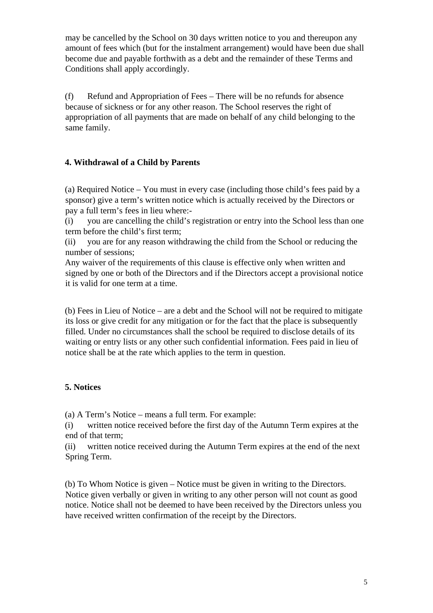may be cancelled by the School on 30 days written notice to you and thereupon any amount of fees which (but for the instalment arrangement) would have been due shall become due and payable forthwith as a debt and the remainder of these Terms and Conditions shall apply accordingly.

(f) Refund and Appropriation of Fees – There will be no refunds for absence because of sickness or for any other reason. The School reserves the right of appropriation of all payments that are made on behalf of any child belonging to the same family.

#### **4. Withdrawal of a Child by Parents**

(a) Required Notice – You must in every case (including those child's fees paid by a sponsor) give a term's written notice which is actually received by the Directors or pay a full term's fees in lieu where:-

(i) you are cancelling the child's registration or entry into the School less than one term before the child's first term;

(ii) you are for any reason withdrawing the child from the School or reducing the number of sessions;

Any waiver of the requirements of this clause is effective only when written and signed by one or both of the Directors and if the Directors accept a provisional notice it is valid for one term at a time.

(b) Fees in Lieu of Notice – are a debt and the School will not be required to mitigate its loss or give credit for any mitigation or for the fact that the place is subsequently filled. Under no circumstances shall the school be required to disclose details of its waiting or entry lists or any other such confidential information. Fees paid in lieu of notice shall be at the rate which applies to the term in question.

#### **5. Notices**

(a) A Term's Notice – means a full term. For example:

(i) written notice received before the first day of the Autumn Term expires at the end of that term;

(ii) written notice received during the Autumn Term expires at the end of the next Spring Term.

(b) To Whom Notice is given – Notice must be given in writing to the Directors. Notice given verbally or given in writing to any other person will not count as good notice. Notice shall not be deemed to have been received by the Directors unless you have received written confirmation of the receipt by the Directors.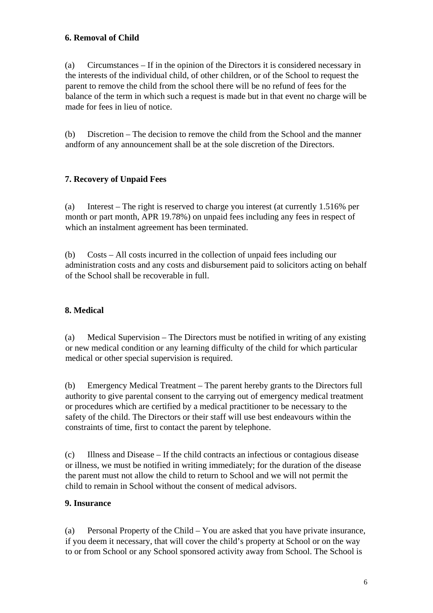## **6. Removal of Child**

(a) Circumstances – If in the opinion of the Directors it is considered necessary in the interests of the individual child, of other children, or of the School to request the parent to remove the child from the school there will be no refund of fees for the balance of the term in which such a request is made but in that event no charge will be made for fees in lieu of notice.

(b) Discretion – The decision to remove the child from the School and the manner andform of any announcement shall be at the sole discretion of the Directors.

#### **7. Recovery of Unpaid Fees**

(a) Interest – The right is reserved to charge you interest (at currently 1.516% per month or part month, APR 19.78%) on unpaid fees including any fees in respect of which an instalment agreement has been terminated.

(b) Costs – All costs incurred in the collection of unpaid fees including our administration costs and any costs and disbursement paid to solicitors acting on behalf of the School shall be recoverable in full.

## **8. Medical**

(a) Medical Supervision – The Directors must be notified in writing of any existing or new medical condition or any learning difficulty of the child for which particular medical or other special supervision is required.

(b) Emergency Medical Treatment – The parent hereby grants to the Directors full authority to give parental consent to the carrying out of emergency medical treatment or procedures which are certified by a medical practitioner to be necessary to the safety of the child. The Directors or their staff will use best endeavours within the constraints of time, first to contact the parent by telephone.

(c) Illness and Disease – If the child contracts an infectious or contagious disease or illness, we must be notified in writing immediately; for the duration of the disease the parent must not allow the child to return to School and we will not permit the child to remain in School without the consent of medical advisors.

#### **9. Insurance**

(a) Personal Property of the Child – You are asked that you have private insurance, if you deem it necessary, that will cover the child's property at School or on the way to or from School or any School sponsored activity away from School. The School is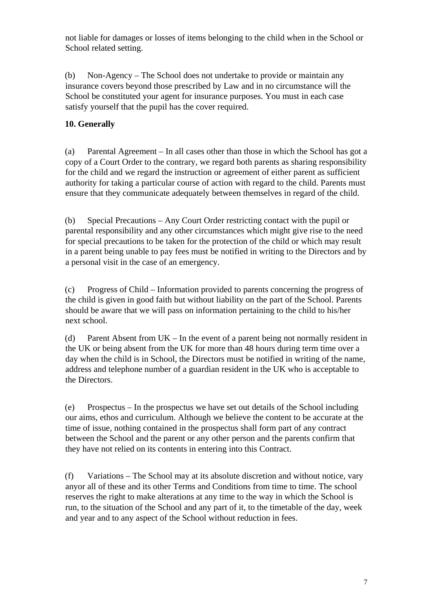not liable for damages or losses of items belonging to the child when in the School or School related setting.

(b) Non-Agency – The School does not undertake to provide or maintain any insurance covers beyond those prescribed by Law and in no circumstance will the School be constituted your agent for insurance purposes. You must in each case satisfy yourself that the pupil has the cover required.

## **10. Generally**

(a) Parental Agreement – In all cases other than those in which the School has got a copy of a Court Order to the contrary, we regard both parents as sharing responsibility for the child and we regard the instruction or agreement of either parent as sufficient authority for taking a particular course of action with regard to the child. Parents must ensure that they communicate adequately between themselves in regard of the child.

(b) Special Precautions – Any Court Order restricting contact with the pupil or parental responsibility and any other circumstances which might give rise to the need for special precautions to be taken for the protection of the child or which may result in a parent being unable to pay fees must be notified in writing to the Directors and by a personal visit in the case of an emergency.

(c) Progress of Child *–* Information provided to parents concerning the progress of the child is given in good faith but without liability on the part of the School. Parents should be aware that we will pass on information pertaining to the child to his/her next school.

(d) Parent Absent from UK – In the event of a parent being not normally resident in the UK or being absent from the UK for more than 48 hours during term time over a day when the child is in School, the Directors must be notified in writing of the name, address and telephone number of a guardian resident in the UK who is acceptable to the Directors.

(e) Prospectus – In the prospectus we have set out details of the School including our aims, ethos and curriculum. Although we believe the content to be accurate at the time of issue, nothing contained in the prospectus shall form part of any contract between the School and the parent or any other person and the parents confirm that they have not relied on its contents in entering into this Contract.

(f) Variations – The School may at its absolute discretion and without notice, vary anyor all of these and its other Terms and Conditions from time to time. The school reserves the right to make alterations at any time to the way in which the School is run, to the situation of the School and any part of it, to the timetable of the day, week and year and to any aspect of the School without reduction in fees.